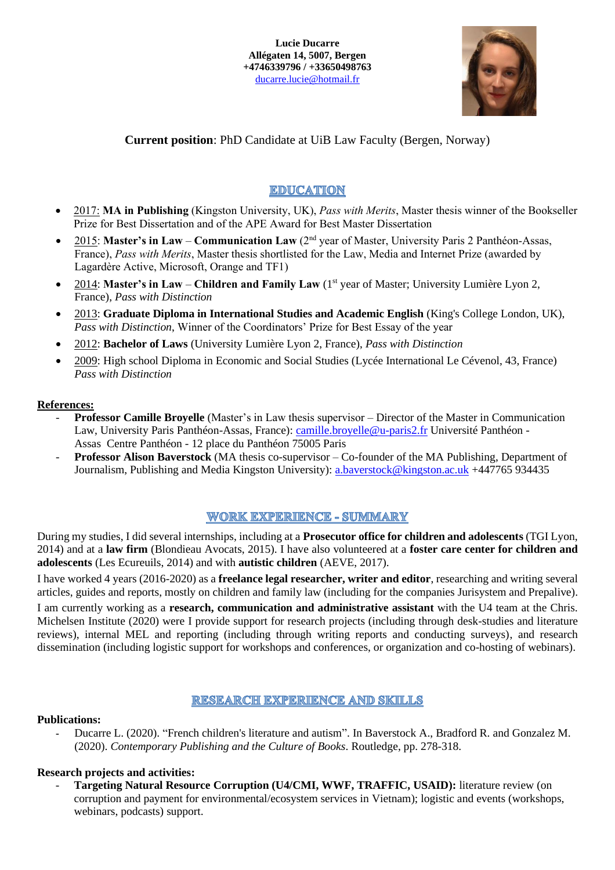

## **Current position**: PhD Candidate at UiB Law Faculty (Bergen, Norway)

# **EDUCATION**

- 2017: **MA in Publishing** (Kingston University, UK), *Pass with Merits*, Master thesis winner of the Bookseller Prize for Best Dissertation and of the APE Award for Best Master Dissertation
- 2015: Master's in Law **Communication Law** (2<sup>nd</sup> year of Master, University Paris 2 Panthéon-Assas, France), *Pass with Merits*, Master thesis shortlisted for the Law, Media and Internet Prize (awarded by Lagardère Active, Microsoft, Orange and TF1)
- 2014: Master's in Law Children and Family Law (1<sup>st</sup> year of Master; University Lumière Lyon 2, France), *Pass with Distinction*
- 2013: **Graduate Diploma in International Studies and Academic English** (King's College London, UK), *Pass with Distinction*, Winner of the Coordinators' Prize for Best Essay of the year
- 2012: **Bachelor of Laws** (University Lumière Lyon 2, France), *Pass with Distinction*
- 2009: High school Diploma in Economic and Social Studies (Lycée International Le Cévenol, 43, France) *Pass with Distinction*

### **References:**

- **Professor Camille Broyelle** (Master's in Law thesis supervisor Director of the Master in Communication Law, University Paris Panthéon-Assas, France): [camille.broyelle@u-paris2.fr](mailto:camille.broyelle@u-paris2.fr) Université Panthéon -Assas Centre Panthéon - 12 place du Panthéon 75005 Paris
- **Professor Alison Baverstock** (MA thesis co-supervisor Co-founder of the MA Publishing, Department of Journalism, Publishing and Media Kingston University): [a.baverstock@kingston.ac.uk](mailto:a.baverstock@kingston.ac.uk) +447765 934435

### **WORK EXPERIENCE - SUMMARY**

During my studies, I did several internships, including at a **Prosecutor office for children and adolescents** (TGI Lyon, 2014) and at a **law firm** (Blondieau Avocats, 2015). I have also volunteered at a **foster care center for children and adolescents** (Les Ecureuils, 2014) and with **autistic children** (AEVE, 2017).

I have worked 4 years (2016-2020) as a **freelance legal researcher, writer and editor**, researching and writing several articles, guides and reports, mostly on children and family law (including for the companies Jurisystem and Prepalive).

I am currently working as a **research, communication and administrative assistant** with the U4 team at the Chris. Michelsen Institute (2020) were I provide support for research projects (including through desk-studies and literature reviews), internal MEL and reporting (including through writing reports and conducting surveys), and research dissemination (including logistic support for workshops and conferences, or organization and co-hosting of webinars).

### **RESEARCH EXPERIENCE AND SKILLS**

### **Publications:**

**-** Ducarre L. (2020). "French children's literature and autism". In Baverstock A., Bradford R. and Gonzalez M. (2020). *Contemporary Publishing and the Culture of Books*. Routledge, pp. 278-318.

### **Research projects and activities:**

- **Targeting Natural Resource Corruption (U4/CMI, WWF, TRAFFIC, USAID):** literature review (on corruption and payment for environmental/ecosystem services in Vietnam); logistic and events (workshops, webinars, podcasts) support.